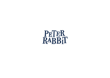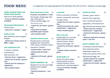## **FOOD MENU** (v) vegetarian (ve) vegan (gf) gluten free (df) dairy free (nf) nut free | Glossary on back page

#### FRESH PASTRIES FROM OUR SISTER VENUE BLOOM

**See bar for daily goodies - Sorry no dietary changes available** 

#### FIG & WALNUT FRUIT LOAF (V) 9

**Tahini butter** 

**- Switch for nuttalex = vegan**

#### FRIES (V) (NF) **12**

**Beer battered, lemon pepper kewpie - Switch for tomato sauce or** 

**BBQ = vegan**

#### H&C CROISSANT (NF) **12**

**Croissant, cheddar,** 

**smoked ham**

- **Add onion jam +\$2**
- **Remove ham = vegetarian**
- **Switch for GF bread = gluten free**
- **Switch ham for haloumi = vegetarian**
- **Jam contains onion**

EGGS YOUR WAY (V) (NF) **15 Poached, Scrambled or Fried Sourdough, double egg, herb salt, onion jam (v) Chilli scrambled eggs +\$2** *\*Build with extras*

- **Switch for GF bread = gluten free**
- **Dairy free scramble available upon request**
- **Jam contains onion**

#### TOMATO & FETA (V) (NF) **15**

**Roasted cherry tomatoes, whipped feta, fermented chilli, honey, sunflower seeds,** 

- **marjoram. Ciabatta** 
	- **Remove feta = dairy free**
	- **Remove feta & honey = vegan**
	- **Switch for GF bread = gluten free**

#### PETER'S PORRIDGE (VE) 16

**Mandarin & coconut porridge, stewed quince, ginger hazelnut**

**- Remove hazelnuts = nut free**

IL PANINO **16**

**Panini, prosciutto, heirloom tomato, mozzarella, basil and tarragon pesto - Switch for GF bread = gluten free**

**- Switch prosciutto for roast mushrooms = vegetarian**

**- Pesto contains garlic**

#### ZESTY AVO (VE) **20**

**Seeded light rye, avocado, black heirloom tomato, cashew cheese, zaatar Add poached eggs +\$4 - Switch for GF bread = gluten free**

**- Cashew cheese contains garlic**

#### SWEET BABKA (V) **22**

**Gordi's five spice babka, peanut butter custard, roasted rhubarb, lemon shortbread, creamed yoghurt - Sorry no dietary changes available** 

#### PETER'S PLATTER 24

**Damper, goats chevre, Barossa free range leg ham, marinated seasonal vegetables, soft boiled duck egg, almond and caraway spice - Switch ham for roasted mushrooms = vegetarian - Switch for GF bread = gluten free**

**- Remove almond & caraway spice = nut free**

#### BENNY'S BREKKY (NF) **24**

**Cornbread, cured SA salmon, lime and brown butter hollandaise, sweet corn, watercress, granny smith, mint Add poached eggs +\$4 - Switch salmon for roasted mushrooms = vegetarian - Switch for GF bread = gluten free**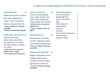### **(v) vegetarian (ve) vegan (gf) gluten free (df) dairy free (nf) nut free | Glossary on back page**

#### PORK KATSU (NF) **24**

**White bread, panko crumbed pork, whole egg gribiche, potato crisps, coral lettuce Add beer battered fries +\$6 - Sorry no dietary changes available**

**-Gribiche contains onion & garlic**

#### RABBIT BOWL (GF) (NF) (DF) **26**

**Raw SA ocean trout, basmati rice, sauerkraut, soy mushroom, cucumber, avocado, sesame, coriander, nori tahini**

**- Swap trout for salt and pepper tofu = vegan**

**- Nori tahini contains garlic**

**Chicken and lemongrass shoyu, udon noodles, larb, green chilli, spring onion, crispy shallot, basil, sesame - Switch udon for greens = gluten free - Shoyu contains onion & garlic**

CHICKY SHOYU (NF) **26**

#### GREEN GNOCH (V) **28**

**Potato gnocchi, skordalia, zucchini, asparagus, goats curd, pistachio pangrattato - Sorry no dietary changes available** 

#### WINTER WAGYU (GF) (DF) **32**

**Wagyu rump skewer, burnt cabbage, sweet potato skordalia, wasabi furikake, parsley, leek, tomato oil - Sorry no dietary changes available**

| House chilli paste       | 2 |
|--------------------------|---|
| Seeded light rye         | 3 |
| <b>Gluten free bread</b> | 3 |
| <b>Eggs</b>              | 4 |
| <b>Charred greens</b>    | 4 |
| <b>Roast tomato</b>      | 5 |
| Avocado                  | 5 |
| Halloumi                 | 6 |
| Herb roasted mushroom    | 6 |
| Smoked bacon             | 6 |
| Spanish chorizo          |   |

BUILD WITH EXTRAS